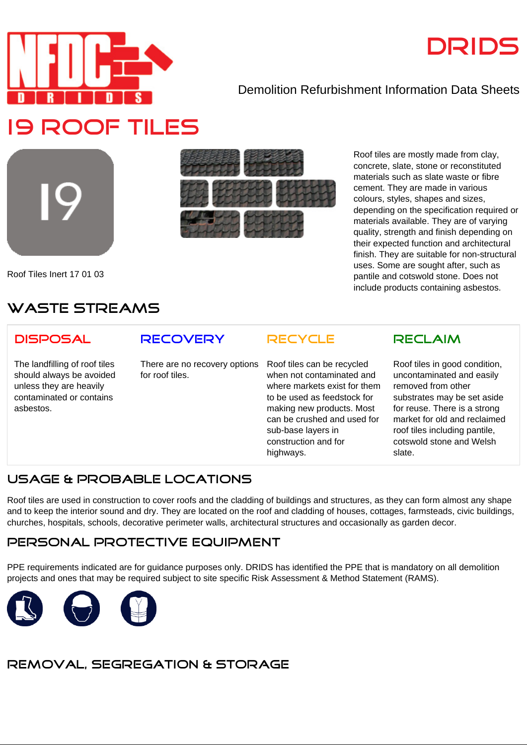

# **DRIDS**

## Demolition Refurbishment Information Data Sheets



Roof Tiles Inert 17 01 03



Roof tiles are mostly made from clay, concrete, slate, stone or reconstituted materials such as slate waste or fibre cement. They are made in various colours, styles, shapes and sizes, depending on the specification required or materials available. They are of varying quality, strength and finish depending on their expected function and architectural finish. They are suitable for non-structural uses. Some are sought after, such as pantile and cotswold stone. Does not include products containing asbestos.

# **WASTE STREAMS**

#### **DISPOSAL**

The landfilling of roof tiles should always be avoided unless they are heavily contaminated or contains asbestos.

## **RECOVERY**

There are no recovery options for roof tiles.

Roof tiles can be recycled when not contaminated and where markets exist for them to be used as feedstock for making new products. Most can be crushed and used for sub-base layers in construction and for highways.

**RECYCLE**

#### **RECLAIM**

Roof tiles in good condition, uncontaminated and easily removed from other substrates may be set aside for reuse. There is a strong market for old and reclaimed roof tiles including pantile, cotswold stone and Welsh slate.

# **USAGE & PROBABLE LOCATIONS**

Roof tiles are used in construction to cover roofs and the cladding of buildings and structures, as they can form almost any shape and to keep the interior sound and dry. They are located on the roof and cladding of houses, cottages, farmsteads, civic buildings, churches, hospitals, schools, decorative perimeter walls, architectural structures and occasionally as garden decor.

#### **PERSONAL PROTECTIVE EQUIPMENT**

PPE requirements indicated are for guidance purposes only. DRIDS has identified the PPE that is mandatory on all demolition projects and ones that may be required subject to site specific Risk Assessment & Method Statement (RAMS).



# **REMOVAL, SEGREGATION & STORAGE**